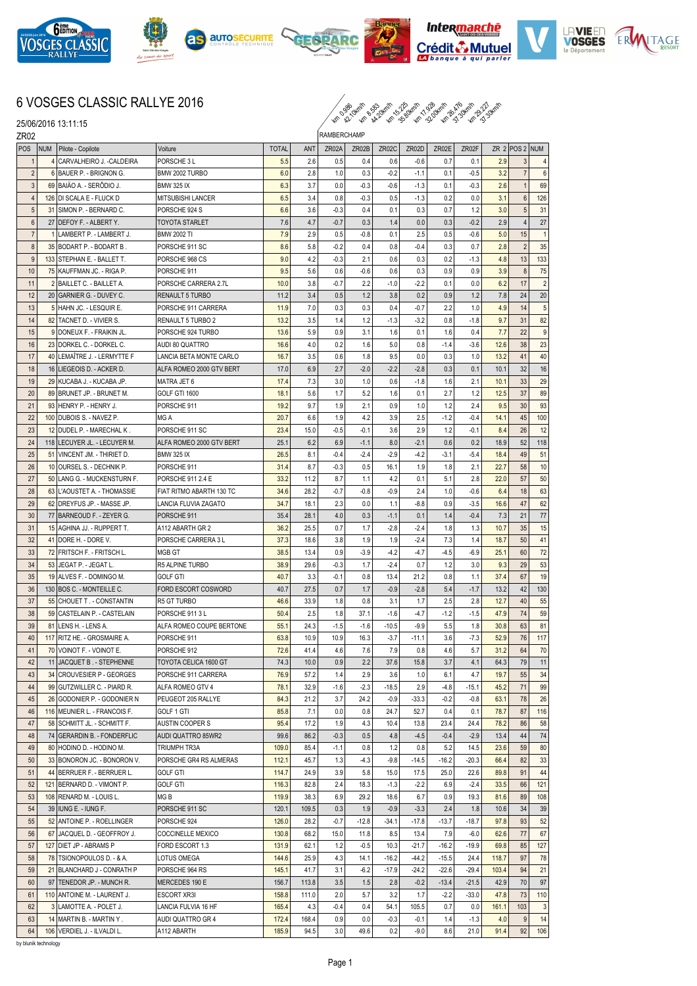











## 6 VOSGES CLASSIC RALLYE 2016

 $\sim$  38 34.30 km 30 4.30 km 31.34 km 31.34 km 31.34 km 31.34 km 31.34 km 31.34 km 31.34 km 31.34 km 31.34 km 31.34 km 31.34 km 31.34 km 31.34 km 31.34 km 31.34 km 31.34 km 31.34 km 31.34 km 31.34 km 31.34 km 31.34 km 31.3

25/06/2016 13:11:15

| ZR02           |                                                          | <b>RAMBERCHAMP</b>                            |              |             |               |               |             |               |            |            |              |                    |                |
|----------------|----------------------------------------------------------|-----------------------------------------------|--------------|-------------|---------------|---------------|-------------|---------------|------------|------------|--------------|--------------------|----------------|
| <b>POS</b>     | NUM Pilote - Copilote                                    | Voiture                                       | <b>TOTAL</b> | ANT         | ZR02A         | ZR02B         | ZR02C       | ZR02D         | ZR02E      | ZR02F      |              | ZR $2$ POS $2$ NUM |                |
| $\mathbf 1$    | 4 CARVALHEIRO J. - CALDEIRA                              | PORSCHE 3 L                                   | 5.5          | 2.6         | 0.5           | 0.4           | 0.6         | $-0.6$        | 0.7        | 0.1        | 2.9          | 3                  | $\overline{4}$ |
| $\overline{2}$ | 6 BAUER P. - BRIGNON G.                                  | BMW 2002 TURBO                                | 6.0          | 2.8         | 1.0           | 0.3           | $-0.2$      | $-1.1$        | 0.1        | $-0.5$     | 3.2          | $\overline{7}$     | 6              |
| 3              | 69 BAIAO A. - SERODIO J.                                 | <b>BMW 325 IX</b>                             | 6.3          | 3.7         | 0.0           | $-0.3$        | $-0.6$      | $-1.3$        | 0.1        | $-0.3$     | 2.6          | -1                 | 69             |
| $\overline{4}$ | 126 DI SCALA E - FLUCK D                                 | <b>MITSUBISHI LANCER</b>                      | 6.5          | 3.4         | 0.8           | $-0.3$        | 0.5         | $-1.3$        | 0.2        | 0.0        | 3.1          | $6\phantom{1}6$    | 126            |
| 5              | 31 SIMON P. - BERNARD C.                                 | PORSCHE 924 S                                 | 6.6          | 3.6         | $-0.3$        | 0.4           | 0.1         | 0.3           | 0.7        | 1.2        | 3.0          | 5                  | 31             |
| 6              | 27 IDEFOY F. - ALBERT Y.                                 | <b>TOYOTA STARLET</b>                         | 7.6          | 4.7         | $-0.7$        | 0.3           | 1.4         | 0.0           | 0.3        | $-0.2$     | 2.9          | $\overline{4}$     | 27             |
| $\overline{7}$ | 1 LAMBERT P. - LAMBERT J.                                | <b>BMW 2002 TI</b>                            | 7.9          | 2.9         | 0.5           | $-0.8$        | 0.1         | 2.5           | 0.5        | $-0.6$     | 5.0          | 15                 | 1              |
| 8              | 35 BODART P. - BODART B.                                 | PORSCHE 911 SC                                | 8.6          | 5.8         | $-0.2$        | 0.4           | 0.8         | $-0.4$        | 0.3        | 0.7        | 2.8          | $\overline{2}$     | 35             |
| 9              | 133 STEPHAN E. - BALLET T.                               | PORSCHE 968 CS                                | 9.0          | 4.2         | $-0.3$        | 2.1           | 0.6         | 0.3           | 0.2        | $-1.3$     | 4.8          | 13                 | 133            |
| 10             | 75 KAUFFMAN JC. - RIGA P.                                | PORSCHE 911                                   | 9.5          | 5.6         | 0.6           | $-0.6$        | 0.6         | 0.3           | 0.9        | 0.9        | 3.9          | $\bf 8$            | 75             |
| 11             | 2 BAILLET C. - BAILLET A.                                | PORSCHE CARRERA 2.7L                          | 10.0         | 3.8         | $-0.7$        | 2.2           | $-1.0$      | $-2.2$        | 0.1        | 0.0        | 6.2          | 17                 | $\overline{2}$ |
| 12             | 20 GARNIER G. - DUVEY C.                                 | RENAULT 5 TURBO                               | 11.2         | 3.4         | 0.5           | 1.2           | 3.8         | 0.2           | 0.9        | 1.2        | 7.8          | 24                 | 20             |
| 13             | 5 HAHN JC. - LESQUIR E.                                  | PORSCHE 911 CARRERA                           | 11.9         | 7.0         | 0.3           | 0.3           | 0.4         | $-0.7$        | 2.2        | 1.0        | 4.9          | 14                 | 5 <sup>5</sup> |
| 14             | 82 TACNET D. - VIVIER S.                                 | RENAULT 5 TURBO 2                             | 13.2         | 3.5         | 1.4           | 1.2           | $-1.3$      | $-3.2$        | 0.8        | $-1.8$     | 9.7          | 31                 | 82             |
| 15             | 9 DONEUX F. - FRAIKIN JL.                                | PORSCHE 924 TURBO                             | 13.6         | 5.9         | 0.9           | 3.1           | 1.6         | 0.1           | 1.6        | 0.4        | 7.7          | 22                 | 9              |
| 16             | 23 DORKEL C. - DORKEL C.                                 | AUDI 80 QUATTRO                               | 16.6         | 4.0         | 0.2           | 1.6           | 5.0         | 0.8           | $-1.4$     | $-3.6$     | 12.6         | 38                 | 23             |
| 17             | 40 LEMAÎTRE J. - LERMYTTE F                              | LANCIA BETA MONTE CARLO                       | 16.7         | 3.5         | 0.6           | 1.8           | 9.5         | 0.0           | 0.3        | 1.0        | 13.2         | 41                 | 40             |
| 18             | 16 LIEGEOIS D. - ACKER D.                                | ALFA ROMEO 2000 GTV BERT                      | 17.0         | 6.9         | 2.7           | $-2.0$        | $-2.2$      | $-2.8$        | 0.3        | 0.1        | 10.1         | 32                 | 16             |
| 19             | 29 KUCABA J. - KUCABA JP.                                | MATRA JET 6                                   | 17.4         | 7.3         | 3.0           | 1.0           | 0.6         | $-1.8$        | 1.6        | 2.1        | 10.1         | 33                 | 29             |
| 20             | 89 BRUNET JP. - BRUNET M.                                | GOLF GTI 1600                                 | 18.1         | 5.6         | 1.7           | 5.2           | 1.6         | 0.1           | 2.7        | 1.2        | 12.5         | 37                 | 89             |
| 21             | 93 HENRY P. - HENRY J.                                   | PORSCHE 911                                   | 19.2         | 9.7         | 1.9           | 2.1           | 0.9         | 1.0           | 1.2        | 2.4        | 9.5          | 30                 | 93             |
| 22             | 100 DUBOIS S. - NAVEZ P.                                 | MG A                                          | 20.7         | 6.6         | 1.9           | 4.2           | 3.9         | 2.5           | $-1.2$     | $-0.4$     | 14.1         | 45                 | 100            |
| 23             | 12 DUDEL P. - MARECHAL K.                                | PORSCHE 911 SC                                | 23.4         | 15.0        | $-0.5$        | $-0.1$        | 3.6         | 2.9           | 1.2        | $-0.1$     | 8.4          | 26                 | 12             |
| 24             | 118   LECUYER JL. - LECUYER M.                           | ALFA ROMEO 2000 GTV BERT                      | 25.1         | 6.2         | 6.9           | $-1.1$        | 8.0         | $-2.1$        | 0.6        | 0.2        | 18.9         | 52                 | 118            |
| 25<br>26       | 51 VINCENT JM. - THIRIET D.<br>10 OURSEL S. - DECHNIK P. | <b>BMW 325 IX</b>                             | 26.5         | 8.1         | $-0.4$        | $-2.4$        | $-2.9$      | $-4.2$<br>1.9 | $-3.1$     | $-5.4$     | 18.4         | 49                 | 51<br>10       |
| 27             | 50 LANG G. - MUCKENSTURN F.                              | PORSCHE 911                                   | 31.4<br>33.2 | 8.7<br>11.2 | $-0.3$<br>8.7 | 0.5           | 16.1<br>4.2 | 0.1           | 1.8<br>5.1 | 2.1<br>2.8 | 22.7<br>22.0 | 58<br>57           | 50             |
| 28             | 63 L'AOUSTET A. - THOMASSIE                              | PORSCHE 911 2.4 E<br>FIAT RITMO ABARTH 130 TC | 34.6         | 28.2        | $-0.7$        | 1.1<br>$-0.8$ | $-0.9$      | 2.4           | 1.0        | $-0.6$     | 6.4          | 18                 | 63             |
| 29             | 62 DREYFUS JP. - MASSE JP.                               | LANCIA FLUVIA ZAGATO                          | 34.7         | 18.1        | 2.3           | 0.0           | 1.1         | $-8.8$        | 0.9        | $-3.5$     | 16.6         | 47                 | 62             |
| 30             | 77 BARNEOUD F. - ZEYER G.                                | PORSCHE 911                                   | 35.4         | 28.1        | 4.0           | 0.3           | $-1.1$      | 0.1           | 1.4        | $-0.4$     | 7.3          | 21                 | 77             |
| 31             | 15 AGHINA JJ. - RUPPERT T.                               | A112 ABARTH GR 2                              | 36.2         | 25.5        | 0.7           | 1.7           | $-2.8$      | $-2.4$        | 1.8        | 1.3        | 10.7         | 35                 | 15             |
| 32             | 41 DORE H. - DORE V.                                     | PORSCHE CARRERA 3 L                           | 37.3         | 18.6        | 3.8           | 1.9           | 1.9         | $-2.4$        | 7.3        | 1.4        | 18.7         | 50                 | 41             |
| 33             | 72 FRITSCH F. - FRITSCH L.                               | MGB GT                                        | 38.5         | 13.4        | 0.9           | $-3.9$        | $-4.2$      | $-4.7$        | $-4.5$     | $-6.9$     | 25.1         | 60                 | 72             |
| 34             | 53 JEGAT P. - JEGAT L.                                   | R5 ALPINE TURBO                               | 38.9         | 29.6        | $-0.3$        | 1.7           | $-2.4$      | 0.7           | 1.2        | 3.0        | 9.3          | 29                 | 53             |
| 35             | 19 ALVES F. - DOMINGO M.                                 | <b>GOLF GTI</b>                               | 40.7         | 3.3         | $-0.1$        | 0.8           | 13.4        | 21.2          | 0.8        | 1.1        | 37.4         | 67                 | 19             |
| 36             | 130 BOS C. - MONTEILLE C.                                | <b>FORD ESCORT COSWORD</b>                    | 40.7         | 27.5        | 0.7           | 1.7           | $-0.9$      | $-2.8$        | 5.4        | $-1.7$     | 13.2         | 42                 | 130            |
| 37             | 55 CHOUET T. - CONSTANTIN                                | R5 GT TURBO                                   | 46.6         | 33.9        | 1.8           | 0.8           | 3.1         | 1.7           | 2.5        | 2.8        | 12.7         | 40                 | 55             |
| 38             | 59 CASTELAIN P. - CASTELAIN                              | PORSCHE 911 3 L                               | 50.4         | 2.5         | 1.8           | 37.1          | $-1.6$      | $-4.7$        | $-1.2$     | $-1.5$     | 47.9         | 74                 | 59             |
| 39             | 81 LENS H. - LENS A.                                     | ALFA ROMEO COUPE BERTONE                      | 55.1         | 24.3        | $-1.5$        | $-1.6$        | $-10.5$     | $-9.9$        | 5.5        | 1.8        | 30.8         | 63                 | 81             |
| 40             | 117 RITZ HE. - GROSMAIRE A.                              | PORSCHE 911                                   | 63.8         | 10.9        | 10.9          | 16.3          | $-3.7$      | $-11.1$       | 3.6        | $-7.3$     | 52.9         | 76                 | 117            |
| 41             | 70 VOINOT F. - VOINOT E.                                 | PORSCHE 912                                   | 72.6         | 41.4        | 4.6           | 7.6           | 7.9         | 0.8           | 4.6        | 5.7        | 31.2         | 64                 | 70             |
| 42             | 11 JACQUET B. - STEPHENNE                                | TOYOTA CELICA 1600 GT                         | 74.3         | 10.0        | 0.9           | 2.2           | 37.6        | 15.8          | 3.7        | 4.1        | 64.3         | 79                 | 11             |
| 43             | 34 CROUVESIER P - GEORGES                                | PORSCHE 911 CARRERA                           | 76.9         | 57.2        | 1.4           | 2.9           | 3.6         | 1.0           | 6.1        | 4.7        | 19.7         | 55                 | 34             |
| 44             | 99 GUTZWILLER C. - PIARD R.                              | ALFA ROMEO GTV 4                              | 78.1         | 32.9        | $-1.6$        | $-2.3$        | $-18.5$     | 2.9           | $-4.8$     | $-15.1$    | 45.2         | 71                 | 99             |
| 45             | 26 GODONIER P. - GODONIER N                              | PEUGEOT 205 RALLYE                            | 84.3         | 21.2        | 3.7           | 24.2          | $-0.9$      | $-33.3$       | $-0.2$     | $-0.8$     | 63.1         | 78                 | 26             |
| 46             | 116   MEUNIER L. - FRANCOIS F.                           | GOLF 1 GTI                                    | 85.8         | 7.1         | 0.0           | 0.8           | 24.7        | 52.7          | 0.4        | 0.1        | 78.7         | 87                 | 116            |
| 47             | 58 SCHMITT JL. - SCHMITT F.                              | <b>AUSTIN COOPER S</b>                        | 95.4         | 17.2        | 1.9           | 4.3           | 10.4        | 13.8          | 23.4       | 24.4       | 78.2         | 86                 | 58             |
| 48             | 74 GERARDIN B. - FONDERFLIC                              | AUDI QUATTRO 85WR2                            | 99.6         | 86.2        | $-0.3$        | 0.5           | 4.8         | $-4.5$        | $-0.4$     | $-2.9$     | 13.4         | 44                 | 74             |
| 49             | 80 HODINO D. - HODINO M.                                 | TRIUMPH TR3A                                  | 109.0        | 85.4        | $-1.1$        | 0.8           | 1.2         | 0.8           | 5.2        | 14.5       | 23.6         | 59                 | 80             |
| 50             | 33 BONORON JC. - BONORON V.                              | PORSCHE GR4 RS ALMERAS                        | 112.1        | 45.7        | 1.3           | $-4.3$        | $-9.8$      | $-14.5$       | $-16.2$    | $-20.3$    | 66.4         | 82                 | 33             |
| 51             | 44 BERRUER F. - BERRUER L.                               | <b>GOLF GTI</b>                               | 114.7        | 24.9        | 3.9           | 5.8           | 15.0        | 17.5          | 25.0       | 22.6       | 89.8         | 91                 | 44             |
| 52             | 121 BERNARD D. - VIMONT P.                               | <b>GOLF GTI</b>                               | 116.3        | 82.8        | 2.4           | 18.3          | $-1.3$      | $-2.2$        | 6.9        | $-2.4$     | 33.5         | 66                 | 121            |
| 53             | 108 RENARD M. - LOUIS L.                                 | MG B                                          | 119.9        | 38.3        | 6.9           | 29.2          | 18.6        | 6.7           | 0.9        | 19.3       | 81.6         | 89                 | 108            |
| 54             | 39   IUNG E. - IUNG F.                                   | PORSCHE 911 SC                                | 120.1        | 109.5       | 0.3           | 1.9           | $-0.9$      | $-3.3$        | 2.4        | 1.8        | 10.6         | 34                 | 39             |
| 55             | 52 ANTOINE P. - ROELLINGER                               | PORSCHE 924                                   | 126.0        | 28.2        | $-0.7$        | $-12.8$       | $-34.1$     | $-17.8$       | $-13.7$    | $-18.7$    | 97.8         | 93                 | 52             |
| 56             | 67 JACQUEL D. - GEOFFROY J.                              | <b>COCCINELLE MEXICO</b>                      | 130.8        | 68.2        | 15.0          | 11.8          | 8.5         | 13.4          | 7.9        | $-6.0$     | 62.6         | 77                 | 67             |
| 57             | 127 DIET JP - ABRAMS P                                   | FORD ESCORT 1.3                               | 131.9        | 62.1        | 1.2           | $-0.5$        | 10.3        | $-21.7$       | $-16.2$    | $-19.9$    | 69.8         | 85                 | 127            |
| 58             | 78 TSIONOPOULOS D. - & A.                                | LOTUS OMEGA                                   | 144.6        | 25.9        | 4.3           | 14.1          | $-16.2$     | $-44.2$       | $-15.5$    | 24.4       | 118.7        | 97                 | 78             |
| 59             | 21 BLANCHARD J - CONRATH P                               | PORSCHE 964 RS                                | 145.1        | 41.7        | 3.1           | $-6.2$        | $-17.9$     | $-24.2$       | $-22.6$    | $-29.4$    | 103.4        | 94                 | 21             |
| 60             | 97 TENEDOR JP. - MUNCH R.                                | MERCEDES 190 E                                | 156.7        | 113.8       | 3.5           | 1.5           | 2.8         | $-0.2$        | $-13.4$    | $-21.5$    | 42.9         | 70                 | 97             |
| 61             | 110 ANTOINE M. - LAURENT J.                              | <b>ESCORT XR3I</b>                            | 158.8        | 111.0       | 2.0           | 5.7           | 3.2         | 1.7           | $-2.2$     | $-33.0$    | 47.8         | 73                 | 110            |
| 62             | 3 LAMOTTE A. - POLET J.                                  | LANCIA FULVIA 16 HF                           | 165.4        | 4.3         | $-0.4$        | 0.4           | 54.1        | 105.5         | 0.7        | 0.0        | 161.1        | 103                | $\mathbf{3}$   |
| 63             | 14 MARTIN B. - MARTIN Y.                                 | AUDI QUATTRO GR 4                             | 172.4        | 168.4       | 0.9           | 0.0           | $-0.3$      | $-0.1$        | 1.4        | $-1.3$     | 4.0          | 9                  | 14             |
| 64             | 106   VERDIEL J. - ILVALDI L.                            | A112 ABARTH                                   | 185.9        | 94.5        | 3.0           | 49.6          | 0.2         | $-9.0$        | 8.6        | 21.0       | 91.4         | 92                 | 106            |

by blunik technology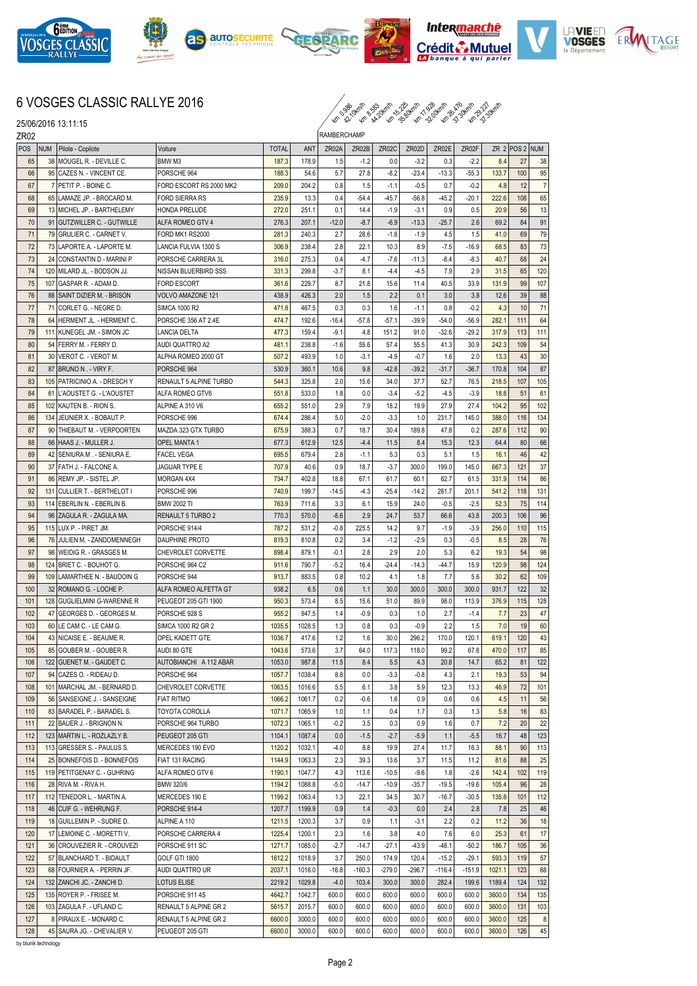











## 6 VOSGES CLASSIC RALLYE 2016

 $\sim$  38 34.30 km 30 4.30 km 31.34 km 31.34 km 31.34 km 31.34 km 31.34 km 31.34 km 31.34 km 31.34 km 31.34 km 31.34 km 31.34 km 31.34 km 31.34 km 31.34 km 31.34 km 31.34 km 31.34 km 31.34 km 31.34 km 31.34 km 31.34 km 31.3

25/06/2016 13:11:15

| ZR02       |            |                                                      |                                          | RAMBERCHAMP      |                  |                |                |                |                |                |                |                  |                |          |
|------------|------------|------------------------------------------------------|------------------------------------------|------------------|------------------|----------------|----------------|----------------|----------------|----------------|----------------|------------------|----------------|----------|
| POS        | <b>NUM</b> | Pilote - Copilote                                    | Voiture                                  | <b>TOTAL</b>     | ANT              | ZR02A          | ZR02B          | ZR02C          | ZR02D          | ZR02E          | ZR02F          |                  | ZR 2 POS 2 NUM |          |
| 65         |            | 38 MOUGEL R. - DEVILLE C.                            | BMW M3                                   | 187.3            | 178.9            | 1.5            | $-1.2$         | 0.0            | $-3.2$         | 0.3            | $-2.2$         | 8.4              | 27             | 38       |
| 66         |            | 95 CAZES N. - VINCENT CE.                            | PORSCHE 964                              | 188.3            | 54.6             | 5.7            | 27.8           | $-8.2$         | $-23.4$        | $-13.3$        | $-55.3$        | 133.7            | 100            | 95       |
| 67         |            | 7 PETIT P. - BOINE C.                                | FORD ESCORT RS 2000 MK2                  | 209.0            | 204.2            | 0.8            | 1.5            | $-1.1$         | $-0.5$         | 0.7            | $-0.2$         | 4.8              | 12             | 7        |
| 68         |            | 65 LAMAZE JP. - BROCARD M.                           | FORD SIERRA RS                           | 235.9            | 13.3             | 0.4            | $-54.4$        | $-45.7$        | -56.8          | $-45.2$        | $-20.1$        | 222.6            | 108            | 65       |
| 69         |            | 13 MICHEL JP. - BARTHELEMY                           | HONDA PRELUDE                            | 272.0            | 251.1            | 0.1            | 14.4           | $-1.9$         | $-3.1$         | 0.9            | 0.5            | 20.9             | 56             | 13       |
| 70         |            | 91 GUTZWILLER C. - GUTWILLE                          | ALFA ROMEO GTV 4                         | 276.3            | 207.1            | $-12.0$        | $-8.7$         | $-6.9$         | $-13.3$        | $-25.7$        | 2.6            | 69.2             | 84             | 91       |
| 71         |            | 79 GRULIER C. - CARNET V.                            | FORD MK1 RS2000                          | 281.3            | 240.3            | 2.7            | 28.6           | $-1.8$         | $-1.9$         | 4.5            | 1.5            | 41.0             | 69             | 79       |
| 72         |            | 73 LAPORTE A. - LAPORTE M.                           | LANCIA FULVIA 1300 S                     | 306.9            | 238.4            | 2.8            | 22.1           | 10.3           | 8.9            | $-7.5$         | $-16.9$        | 68.5             | 83             | 73       |
| 73         |            | 24 CONSTANTIN D - MARINI P                           | PORSCHE CARRERA 3L                       | 316.0            | 275.3            | 0.4            | $-4.7$         | $-7.6$         | $-11.3$        | $-8.4$         | $-8.3$         | 40.7             | 68             | 24       |
| 74         |            | 120 MILARD JL. - BODSON JJ.                          | NISSAN BLUERBIRD SSS                     | 331.3            | 299.8            | $-3.7$         | 8.1            | $-4.4$         | $-4.5$         | 7.9            | 2.9            | 31.5             | 65             | 120      |
| 75         |            | 107 GASPAR R. - ADAM D.                              | <b>FORD ESCORT</b>                       | 361.6            | 229.7            | 8.7            | 21.8           | 15.6           | 11.4           | 40.5           | 33.9           | 131.9            | 99             | 107      |
| 76         |            | 88 SAINT DIZIER M. - BRISON                          | VOLVO AMAZONE 121                        | 438.9            | 426.3            | 2.0            | 1.5            | 2.2            | 0.1            | 3.0            | 3.8            | 12.6             | 39             | 88       |
| 77         |            | 71 CORLET G. - NEGRE D.                              | <b>SIMCA 1000 R2</b>                     | 471.8            | 467.5            | 0.3            | 0.3            | 1.6            | $-1.1$         | 0.8            | $-0.2$         | 4.3              | 10             | 71       |
| 78         |            | 64 HERMENT JL. - HERMENT C.                          | PORSCHE 356 AT 2.4E                      | 474.7            | 192.6            | $-16.4$        | $-57.8$        | $-57.1$        | -39.9          | $-54.0$        | $-56.9$        | 282.1            | 111            | 64       |
| 79         |            | 111 KUNEGEL JM. - SIMON JC                           | <b>LANCIA DELTA</b>                      | 477.3            | 159.4            | $-9.1$         | 4.8            | 151.2          | 91.0           | $-32.6$        | $-29.2$        | 317.9            | 113            | 111      |
| 80         |            | 54 FERRY M. - FERRY D.                               | AUDI QUATTRO A2                          | 481.1            | 238.8            | $-1.6$         | 55.6           | 57.4           | 55.5           | 41.3           | 30.9           | 242.3            | 109            | 54       |
| 81         |            | 30 VEROT C. - VEROT M.                               | ALPHA ROMEO 2000 GT                      | 507.2            | 493.9            | 1.0            | $-3.1$         | $-4.9$         | $-0.7$         | 1.6            | 2.0            | 13.3             | 43             | 30       |
| 82         |            | 87 BRUNO N. - VIRY F.                                | PORSCHE 964                              | 530.9            | 360.1            | 10.6           | 9.8            | $-42.8$        | $-39.2$        | $-31.7$        | $-36.7$        | 170.8            | 104            | 87       |
| 83         |            | 105 PATRICINIO A. - DRESCH Y                         | RENAULT 5 ALPINE TURBO                   | 544.3            | 325.8            | 2.0            | 15.6           | 34.0           | 37.7           | 52.7           | 76.5           | 218.5            | 107            | 105      |
| 84         |            | 61 L'AOUSTET G. - L'AOUSTET                          | ALFA ROMEO GTV6                          | 551.8            | 533.0            | 1.8            | 0.0            | $-3.4$         | $-5.2$         | $-4.5$         | $-3.9$         | 18.8             | 51             | 61       |
| 85         |            | 102 KAUTEN B. - RION S.                              | ALPINE A 310 V6                          | 655.2            | 551.0            | 2.9            | 7.9            | 18.2           | 19.9           | 27.9           | 27.4           | 104.2            | 95             | 102      |
| 86         |            | 134 JEUNIER X. - BOBAUT P.                           | PORSCHE 996                              | 674.4            | 286.4            | 5.0            | $-2.0$         | $-3.3$         | 1.0            | 231.7          | 145.0          | 388.0            | 116            | 134      |
| 87         | 90         | THIEBAUT M. - VERPOORTEN                             | MAZDA 323 GTX TURBO                      | 675.9            | 388.3            | 0.7            | 18.7           | 30.4           | 189.8          | 47.8           | 0.2            | 287.6            | 112            | 90       |
| 88         |            | 66 HAAS J. - MULLER J.                               | <b>OPEL MANTA1</b>                       | 677.3            | 612.9            | 12.5           | $-4.4$         | 11.5           | 8.4            | 15.3           | 12.3           | 64.4             | 80             | 66       |
| 89         |            | 42 SENIURA M. - SENIURA E.                           | <b>FACEL VEGA</b>                        | 695.5            | 679.4            | 2.8            | $-1.1$         | 5.3            | 0.3            | 5.1            | 1.5            | 16.1             | 46             | 42       |
| 90         |            | 37 FATH J. - FALCONE A.                              | JAGUAR TYPE E                            | 707.9            | 40.6             | 0.9            | 18.7           | $-3.7$         | 300.0          | 199.0          | 145.0          | 667.3            | 121            | 37       |
| 91         |            | 86 REMY JP. - SISTEL JP.                             | MORGAN 4X4                               | 734.7            | 402.8            | 18.8           | 67.1           | 61.7           | 60.1           | 62.7           | 61.5           | 331.9            | 114            | 86       |
| 92         |            | 131 CULLIER T. - BERTHELOT I                         | PORSCHE 996                              | 740.9            | 199.7            | $-14.5$        | $-4.3$         | $-25.4$        | $-14.2$        | 281.7          | 201.1          | 541.2            | 118            | 131      |
| 93         |            | 114 EBERLIN N. - EBERLIN B.                          | <b>BMW 2002 TI</b>                       | 763.9            | 711.6            | 3.3            | 6.1            | 15.9           | 24.0           | $-0.5$         | $-2.5$         | 52.3             | 75             | 114      |
| 94         |            | 96   ZAGULA R. - ZAGULA MA.                          | RENAULT 5 TURBO 2                        | 770.3            | 570.0            | $-8.6$         | 2.9            | 24.7           | 53.7           | 66.6           | 43.8           | 200.3            | 106            | 96       |
| 95         |            | 115 LUX P. - PIRET JM.                               | PORSCHE 914/4                            | 787.2            | 531.2            | $-0.8$         | 225.5          | 14.2           | 9.7            | $-1.9$         | $-3.9$         | 256.0            | 110            | 115      |
| 96         |            | 76 JULIEN M. - ZANDOMENNEGH                          | DAUPHINE PROTO                           | 819.3            | 810.8            | 0.2            | 3.4            | $-1.2$         | $-2.9$         | 0.3            | $-0.5$         | 8.5              | 28             | 76       |
| 97         |            | 98 WEIDIG R. - GRASGES M.                            | <b>CHEVROLET CORVETTE</b>                | 898.4            | 879.1            | $-0.1$         | 2.8            | 2.9            | 2.0            | 5.3            | 6.2            | 19.3             | 54             | 98       |
| 98         |            | 124 BRIET C. - BOUHOT G.                             | PORSCHE 964 C2                           | 911.6            | 790.7            | $-5.2$         | 16.4           | $-24.4$        | $-14.3$        | -44.7          | 15.9           | 120.9            | 98             | 124      |
| 99         |            | 109 LAMARTHEE N. - BAUDOIN G                         | PORSCHE 944                              | 913.7            | 883.5            | 0.8            | 10.2           | 4.1            | 1.8            | 7.7            | 5.6            | 30.2             | 62             | 109      |
| 100        |            | 32   ROMANO G. - LOCHE P.                            | ALFA ROMEO ALFETTA GT                    | 938.2            | 6.5              | 0.6            | 1.1            | 30.0           | 300.0          | 300.0          | 300.0          | 931.7            | 122            | 32       |
| 101        |            | 128 GUGLIELMINI G-WARENNE R                          | PEUGEOT 205 GTI 1900                     | 950.3            | 573.4            | 8.5            | 15.6           | 51.0           | 89.9           | 98.0           | 113.9          | 376.9            | 115            | 128      |
| 102        |            | 47 GEORGES D. - GEORGES M.                           | PORSCHE 928 S                            | 955.2            | 947.5            | 1.4            | $-0.9$         | 0.3            | 1.0            | 2.7            | $-1.4$         | 7.7              | 23             | 47       |
| 103        |            | 60 ILE CAM C. - LE CAM G.                            | SIMCA 1000 R2 GR 2                       | 1035.5           | 1028.5           | 1.3            | 0.8            | 0.3            | $-0.9$         | 2.2            | 1.5            | 7.0              | 19             | 60       |
| 104        |            | 43 NICAISE E. - BEAUME R.                            | OPEL KADETT GTE                          | 1036.7           | 417.6            | 1.2            | 1.6            | 30.0           | 296.2          | 170.0          | 120.1          | 619.1            | 120            | 43       |
| 105        |            | 85 GOUBER M. - GOUBER R.                             | AUDI 80 GTE                              | 1043.6           | 573.6            | 3.7            | 64.0           | 117.3          | 118.0          | 99.2           | 67.8           | 470.0            | 117            | 85       |
| 106        |            | 122 GUENET M. - GAUDET C.                            | AUTOBIANCHI A 112 ABAR                   | 1053.0           | 987.8            | 11.5           | 8.4            | 5.5            | 4.3            | 20.8           | 14.7           | 65.2             | 81             | 122      |
| 107        |            | 94 CAZES O. - RIDEAU D.                              | PORSCHE 964                              | 1057.7           | 1038.4           | 8.8            | 0.0            | $-3.3$         | $-0.8$         | 4.3            | 2.1            | 19.3             | 53             | 94       |
| 108        |            | 101   MARCHAL JM. - BERNARD D.                       | CHEVROLET CORVETTE                       | 1063.5           | 1016.6           | 5.5            | 6.1            | 3.8            | 5.9            | 12.3           | 13.3           | 46.9             | 72             | 101      |
| 109        |            | 56 SANSEIGNE J. - SANSEIGNE                          | <b>FIAT RITMO</b>                        | 1066.2           | 1061.7           | 0.2            | $-0.6$         | 1.6            | 0.9            | 0.6            | 0.6            | 4.5              | 11             | 56       |
| 110        |            | 83 BARADEL P. - BARADEL S.                           | TOYOTA COROLLA                           | 1071.7           | 1065.9           | 1.0            | 1.1            | 0.4            | 1.7            | 0.3            | 1.3            | 5.8              | 16             | 83       |
| 111        |            | 22 BAUER J. - BRIGNON N.                             | PORSCHE 964 TURBO                        | 1072.3           | 1065.1           | $-0.2$         | 3.5            | 0.3            | 0.9            | 1.6            | 0.7            | 7.2              | 20             | 22       |
| 112        |            | 123   MARTIN L. - ROZLAZLY B.                        | PEUGEOT 205 GTI                          | 1104.1           | 1087.4           | 0.0            | $-1.5$         | $-2.7$         | $-5.9$         | 1.1            | $-5.5$         | 16.7             | 48             | 123      |
| 113        |            | 113 GRESSER S. - PAULUS S.                           | MERCEDES 190 EVO                         | 1120.2           | 1032.1           | $-4.0$         | 8.8            | 19.9           | 27.4           | 11.7           | 16.3           | 88.1             | 90             | 113      |
| 114        |            | 25 BONNEFOIS D. - BONNEFOIS                          | FIAT 131 RACING                          | 1144.9           | 1063.3           | 2.3            | 39.3           | 13.6           | 3.7            | 11.5           | 11.2           | 81.6             | 88             | 25       |
| 115        |            | 119 PETITGENAY C. - GUHRING                          | ALFA ROMEO GTV 6                         | 1190.1           | 1047.7           | 4.3            | 113.6          | $-10.5$        | $-9.6$         | 1.8            | $-2.6$         | 142.4            | 102            | 119      |
| 116        |            | 28 RIVA M. - RIVA H.                                 | BMW 320/6                                | 1194.2           | 1088.8           | $-5.0$         | $-14.7$        | $-10.9$        | $-35.7$        | $-19.5$        | $-19.6$        | 105.4            | 96             | 28       |
| 117        |            | 112 TENEDOR L. - MARTIN A.                           | MERCEDES 190 E                           | 1199.2           | 1063.4           | 1.3            | 22.1           | 34.5           | 30.7           | $-16.7$        | $-30.5$        | 135.8            | 101            | 112      |
| 118        |            | 46 CUIF G. - WEHRUNG F.                              | PORSCHE 914-4                            | 1207.7           | 1199.9           | 0.9            | 1.4            | $-0.3$         | 0.0            | 2.4            | 2.8            | 7.8              | 25             | 46       |
| 119        |            | 18 GUILLEMIN P. - SUDRE D.                           | ALPINE A 110                             | 1211.5           | 1200.3           | 3.7            | 0.9            | 1.1            | $-3.1$         | 2.2            | 0.2            | $11.2$           | 36             | 18       |
| 120        |            | 17 LEMOINE C. - MORETTI V.                           | PORSCHE CARRERA 4                        | 1225.4           | 1200.1           | 2.3            | 1.6            | 3.8            | 4.0            | 7.6            | 6.0            | 25.3             | 61             | 17       |
| 121        |            | 36 CROUVEZIER R. - CROUVEZI                          | PORSCHE 911 SC                           | 1271.7           | 1085.0           | $-2.7$         | $-14.7$        | $-27.1$        | $-43.9$        | $-48.1$        | $-50.2$        | 186.7            | 105            | 36       |
| 122        |            | 57 BLANCHARD T. - BIDAULT                            | GOLF GTI 1800                            | 1612.2           | 1018.9           | 3.7            | 250.0          | 174.9          | 120.4          | $-15.2$        | $-29.1$        | 593.3            | 119            | 57       |
| 123        |            | 68 FOURNIER A. - PERRIN JF.                          | AUDI QUATTRO UR                          | 2037.1           | 1016.0           | $-16.8$        | $-160.3$       | $-279.0$       | $-296.7$       | $-116.4$       | $-151.9$       | 1021.1           | 123            | 68       |
| 124        |            | 132 ZANCHI JC. - ZANCHI D.                           | LOTUS ELISE                              | 2219.2           | 1029.8           | $-4.0$         | 103.4          | 300.0          | 300.0          | 282.4          | 199.6          | 1189.4           | 124            | 132      |
| 125        |            | 135 ROYER P. - FRISEE M.                             | PORSCHE 911 4S                           | 4642.7           | 1042.7           | 600.0          | 600.0          | 600.0          | 600.0          | 600.0<br>600.0 | 600.0          | 3600.0           | 134            | 135      |
| 126<br>127 |            | 103 ZAGULA F. - UFLAND C.<br>8 PIRAUX E. - MONARD C. | RENAULT 5 ALPINE GR 2                    | 5615.7<br>6600.0 | 2015.7<br>3000.0 | 600.0<br>600.0 | 600.0<br>600.0 | 600.0<br>600.0 | 600.0<br>600.0 | 600.0          | 600.0<br>600.0 | 3600.0<br>3600.0 | 131<br>125     | 103<br>8 |
| 128        |            | 45 SAURA JG. - CHEVALIER V.                          | RENAULT 5 ALPINE GR 2<br>PEUGEOT 205 GTI | 6600.0           | 3000.0           | 600.0          | 600.0          | 600.0          | 600.0          | 600.0          | 600.0          | 3600.0           | 126            | 45       |
|            |            |                                                      |                                          |                  |                  |                |                |                |                |                |                |                  |                |          |

by blunik technology